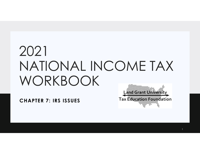# 2021 NATIONAL INCOME TAX WORKBOOK

**CHAPTER 7: IRS ISSUES**

**Land Grant University Tax Education Foundation**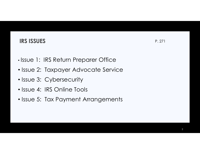## **IRS ISSUES**

- •• Issue 1: IRS Return Preparer Office
- Issue 2: Taxpayer Advocate Service
- Issue 3: Cybersecurity
- Issue 4: IRS Online Tools
- Issue 5: Tax Payment Arrangements

 $\mathbf{S}$  P. 271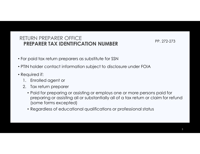#### RETURN PREPARER OFFICE **PREPARER TAX IDENTIFICATION NUMBER**

PP. 272-273

- For paid tax return preparers as substitute for SSN
- PTIN holder contact information subject to disclosure under FOIA
- Required if:
	- 1. Enrolled agent or
	- 2. Tax return preparer
		- Paid for preparing or assisting or employs one or more persons paid for preparing or assisting all or substantially all of a tax return or claim for refund (some forms excepted)
		- Regardless of educational qualifications or professional status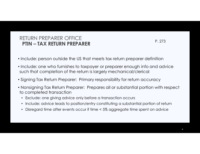## RETURN PREPARER OFFICE**PTIN – TAX RETURN PREPARER** P. 273

- Include: person outside the US that meets tax return preparer definition
- Include: one who furnishes to taxpayer or preparer enough info and advice such that completion of the return is largely mechanical/clerical
- Signing Tax Return Preparer: Primary responsibility for return accuracy
- Nonsigning Tax Return Preparer: Prepares all or substantial portion with respect to completed transaction
	- Exclude: one giving advice only before a transaction occurs
	- Include: advice leads to position/entry constituting a substantial portion of return
	- •Disregard time after events occur if time < 5% aggregate time spent on advice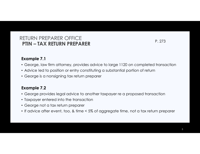## RETURN PREPARER OFFICE**PTIN – TAX RETURN PREPARER** P. 273

#### **Example 7.1**

- George, law firm attorney, provides advice to large 1120 on completed transaction
- Advice led to position or entry constituting a substantial portion of return
- George is a nonsigning tax return preparer

#### **Example 7.2**

- George provides legal advice to another taxpayer re a proposed transaction
- Taxpayer entered into the transaction
- George not a tax return preparer
- If advice after event, too, & time < 5% of aggregate time, not a tax return preparer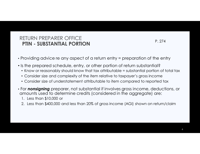## RETURN PREPARER OFFICE**PTIN - SUBSTANTIAL PORTION**

- Providing advice re any aspect of a return entry = preparation of the entry
- Is the prepared schedule, entry, or other portion of return substantial?
	- $\bullet\,$  Know or reasonably should know that tax attributable = substantial portion of total tax
	- Consider size and complexity of the item relative to taxpayer's gross income
	- Consider size of understatement attributable to item compared to reported tax
- For *nonsigning* preparer, not substantial if involves gross income, deductions, or amounts used to determine credits (considered in the aggregate) are:
	- 1. Less than \$10,000 or
	- 2. Less than \$400,000 and less than 20% of gross income (AGI) shown on return/claim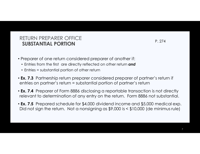#### RETURN PREPARER OFFICE**SUBSTANTIAL PORTION**P. 274

- Preparer of one return considered preparer of another if:
	- Entries from the first are directly reflected on other return *and*
	- Entries = substantial portion of other return
- **Ex. 7.3** Partnership return preparer considered preparer of partner's return if entries on partner's return = substantial portion of partner's return
- **Ex. 7.4** Preparer of Form 8886 disclosing a reportable transaction is not directly relevant to determination of any entry on the return. Form 8886 not substantial.
- **Ex. 7.5** Prepared schedule for \$4,000 dividend income and \$5,000 medical exp. Did not sign the return. Not a nonsigning as \$9,000 is < \$10,000 (de minimus rule)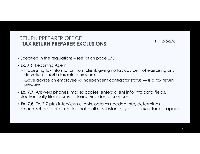#### RETURN PREPARER OFFICE**TAX RETURN PREPARER EXCLUSIONS**

 $\textsf{SPR}_2$  275-276

- Specified in the regulations see list on page 275
- **Ex. 7.6** Reporting Agent
	- Processing tax information from client, giving no tax advice, not exercising any discretion → *not* a tax return preparer
	- Gave advice on employee vs independent contractor status → *is* a tax return preparer
- **Ex. 7.7** Answers phones, makes copies, enters client info into data fields, electronically files returns = clerical/incidental services
- **Ex. 7.8** Ex. 7.7 plus interviews clients, obtains needed info, determines amount/character of entries that = all or substantially all  $\rightarrow$  tax return preparer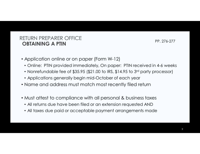#### RETURN PREPARER OFFICE**OBTAINING A PTIN**PP. 276-277

- Application online or on paper (Form W-12)
	- Online: PTIN provided immediately, On paper: PTIN received in 4-6 weeks
	- Nonrefundable fee of  $$35.95$  ( $$21.00$  to IRS,  $$14.95$  to  $3^{\mathsf{rd}}$  party processor)
	- Applications generally begin mid-October of each year
- Name and address must match most recently filed return
- Must attest to compliance with all personal & business taxes
	- All returns due have been filed or an extension requested AND
	- All taxes due paid or acceptable payment arrangements made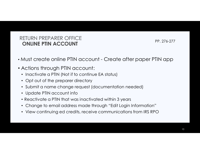#### RETURN PREPARER OFFICE**ONLINE PTIN ACCOUNT**

PP. 276-277

- Must create online PTIN account Create after paper PTIN app
- Actions through PTIN account:
	- Inactivate a PTIN (Not if to continue EA status)
	- Opt out of the preparer directory
	- Submit a name change request (documentation needed)
	- Update PTIN account info
	- Reactivate a PTIN that was inactivated within 3 years
	- Change to email address made through "Edit Login Information"
	- View continuing ed credits, receive communications from IRS RPO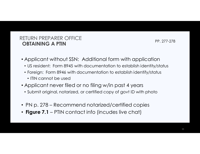#### RETURN PREPARER OFFICE**OBTAINING A PTIN**PP. 277-278

- Applicant without SSN: Additional form with application
	- US resident: Form 8945 with documentation to establish identity/status
	- Foreign: Form 8946 with documentation to establish identify/status
		- ITIN cannot be used
- Applicant never filed or no filing w/in past 4 years
- Submit original, notarized, or certified copy of govt ID with photo
- PN p. 278 Recommend notarized/certified copies
- **Figure 7.1**  PTIN contact info (incudes live chat)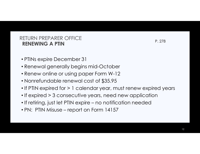#### RETURN PREPARER OFFICE**RENEWING A PTINN** P. 278

- PTINs expire December 31
- Renewal generally begins mid-October
- Renew online or using paper Form W-12
- Nonrefundable renewal cost of \$35.95
- If PTIN expired for > 1 calendar year, must renew expired years
- If expired > 3 consecutive years, need new application
- If retiring, just let PTIN expire no notification needed
- PN: PTIN Misuse report on Form 14157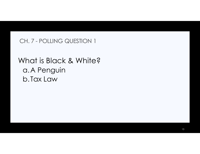## CH. 7 - POLLING QUESTION 1

## What is Black & White?a.A Penguinb.Tax Law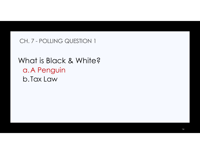## CH. 7 - POLLING QUESTION 1

## What is Black & White?a.A Penguinb.Tax Law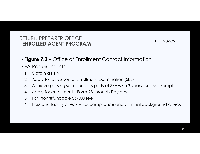#### RETURN PREPARER OFFICE**ENROLLED AGENT PROGRAM**

 $M$  PP. 278-279

- **Figure 7.2**  Office of Enrollment Contact Information
- EA Requirements
	- 1. Obtain a PTIN
	- 2. Apply to take Special Enrollment Examination (SEE)<br>3. Achieve passina score on all 3 parts of SEE w/in 3 ve
	- 3. Achieve passing score on all 3 parts of SEE w/in 3 years (unless exempt)
	- 4. Apply for enrollment Form 23 through Pay.gov<br>5. Pav nonrefundable \$67.00 fee
	- 5. Pay nonrefundable \$67.00 fee
	- 6. Pass a suitability check tax compliance and criminal background check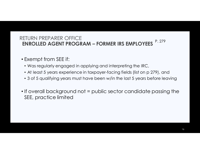## RETURN PREPARER OFFICE**ENROLLED AGENT PROGRAM – FORMER IRS EMPLOYEES** <sup>P. 279</sup>

- Exempt from SEE if:
	- Was regularly engaged in applying and interpreting the IRC,
	- At least 5 years experience in taxpayer-facing fields (list on p 279), and
	- 3 of 5 qualifying years must have been w/in the last 5 years before leaving
- If overall background not = public sector candidate passing the SEE, practice limited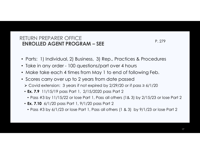## RETURN PREPARER OFFICE**ENROLLED AGENT PROGRAM – SEE** P. 279

- Parts: 1) Individual, 2) Business, 3) Rep., Practices & Procedures
- Take in any order 100 questions/part over 4 hours
- Make take each 4 times from May 1 to end of following Feb.
- Scores carry over up to 2 years from date passed
	- Covid extension: 3 years if not expired by 2/29/20 or if pass ≥ 6/1/20
	- **Ex. 7.9** 11/15/19 pass Part 1, 2/15/2020 pass Part 2
		- Pass #3 by 11/15/22 or lose Part 1, Pass all others (1& 3) by 2/15/23 or lose Part 2
	- **Ex. 7.10** 6/1/20 pass Part 1, 9/1/20 pass Part 2
		- Pass #3 by 6/1/23 or lose Part 1, Pass all others (1 & 3) by 9/1/23 or lose Part 2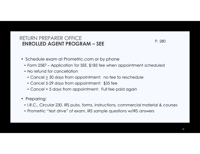## RETURN PREPARER OFFICE**ENROLLED AGENT PROGRAM – SEE**

- Schedule exam at Prometric.com or by phone
	- Form 2587 Application for SEE, \$185 fee when appointment scheduled
	- No refund for cancellation
		- Cancel  $\geq$  30 days from appointment: no fee to reschedule
		- Cancel 5-29 days from appointment: \$35 fee
		- Cancel < 5 days from appointment: Full fee paid again
- Preparing:
	- I.R.C., Circular 230, IRS pubs, forms, instructions, commercial material & courses
	- Prometric "test drive" of exam, IRS sample questions w/IRS answers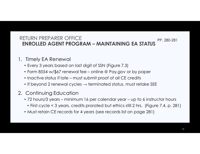#### RETURN PREPARER OFFICE **ENROLLED AGENT PROGRAM – MAINTAINING EA STATUS** PP. 280-281

- 1. Timely EA Renewal
	- Every 3 years based on last digit of SSN (Figure 7.3)
	- Form 8554 w/\$67 renewal fee online @ Pay.gov or by paper
	- Inactive status if late must submit proof of all CE credits
	- $\bullet$  If beyond 2 renewal cycles  $\rightarrow$  terminated status, must retake SEE
- 2. Continuing Education
	- 72 hours/3 years minimum 16 per calendar year up to 6 instructor hours
	- First cycle < 3 years, credits prorated but ethics still 2 hrs. (Figure 7.4, p. 281)
	- Must retain CE records for 4 years (see records list on page 281)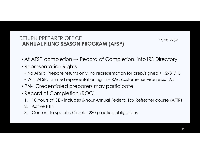#### RETURN PREPARER OFFICE**ANNUAL FILING SEASON PROGRAM (AFSP)**

PP. 281-282

- At AFSP completion  $\rightarrow$  Record of Completion, into IRS Directory
- Representation Rights
	- No AFSP: Prepare returns only, no representation for prep/signed > 12/31/15
	- With AFSP: Limited representation rights RAs, customer service reps, TAS
- PN- Credentialed preparers may participate
- Record of Completion (ROC)
	- 1. 18 hours of CE includes 6-hour Annual Federal Tax Refresher course (AFTR)
	- 2. Active PTIN<br>3. Consent to
	- 3. Consent to specific Circular 230 practice obligations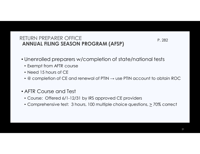#### RETURN PREPARER OFFICE**ANNUAL FILING SEASON PROGRAM (AFSP)**

P. 282

- Unenrolled preparers w/completion of state/national tests
	- Exempt from AFTR course
	- Need 15 hours of CE
	- $\bullet$  @ completion of CE and renewal of PTIN  $\to$  use PTIN account to obtain ROC
- AFTR Course and Test
	- Course: Offered 6/1-12/31 by IRS approved CE providers
	- Comprehensive test: 3 hours, 100 multiple choice questions,  $\geq$  70% correct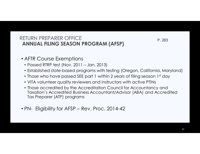#### RETURN PREPARER OFFICE**ANNUAL FILING SEASON PROGRAM (AFSP)**

P. 283

- AFTR Course Exemptions
	- Passed RTRP test (Nov. 2011 Jan. 2013)
	- Established state-based programs with testing (Oregon, California, Maryland)
	- $\bullet$  Those who have passed SEE part 1 within 2 years of filing season 1st day
	- VITA volunteer quality reviewers and instructors with active PTINs
	- Those accredited by the Accreditation Council for Accountancy and Taxation's Accredited Business Accountant/Advisor (ABA) and Accredited Tax Preparer (ATP) programs
- PN- Eligibility for AFSP Rev. Proc. 2014-42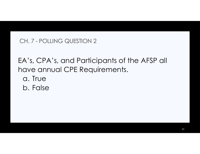## CH. 7 - POLLING QUESTION 2

EA's, CPA's, and Participants of the AFSP all have annual CPE Requirements.

- a. True
- b. False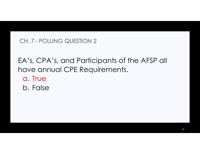## CH. 7 - POLLING QUESTION 2

EA's, CPA's, and Participants of the AFSP all have annual CPE Requirements.

- a. True
- b. False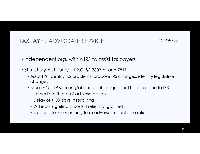## TAXPAYER ADVOCATE SERVICE

PP. 284-285

- Independent org. within IRS to assist taxpayers
- Statutory Authority I.R.C. §§ 7803(c) and 7811
	- Assist TPs, identify IRS problems, propose IRS changes, identify legislative changes
	- Issue TAO if TP suffering/about to suffer significant hardship due to IRS:
		- Immediate threat of adverse action
		- Delay of > 30 days in resolving
		- Will incur significant costs if relief not granted
		- Irreparable injury or long-term adverse impact if no relief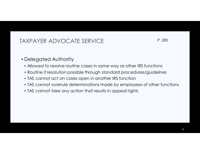## TAXPAYER ADVOCATE SERVICE

P. 285

- Delegated Authority
	- Allowed to resolve routine cases in same way as other IRS functions
	- Routine if resolution possible through standard procedures/guidelines
	- TAS cannot act on cases open in another IRS function
	- TAS cannot overrule determinations made by employees of other functions
	- TAS cannot take any action that results in appeal rights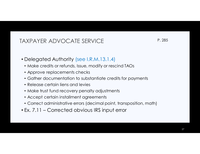## TAXPAYER ADVOCATE SERVICE

P. 285

- Delegated Authority (see I.R.M.13.1.4)
	- Make credits or refunds, Issue, modify or rescind TAOs
	- Approve replacements checks
	- Gather documentation to substantiate credits for payments
	- Release certain liens and levies
	- Make trust fund recovery penalty adjustments
	- Accept certain installment agreements
	- Correct administrative errors (decimal point, transposition, math)
- Ex. 7.11 Corrected obvious IRS input error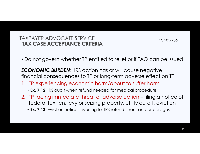#### TAXPAYER ADVOCATE SERVICE**TAX CASE ACCEPTANCE CRITERIA**

PP. 285-286

• Do not govern whether TP entitled to relief or if TAO can be issued

*ECONOMIC BURDEN*: IRS action has or will cause negative financial consequences to TP or long-term adverse effect on TP

- 1. TP experiencing economic harm/about to suffer harm
	- **Ex. 7.12** IRS audit when refund needed for medical procedure
- 2. TP facing immediate threat of adverse action filing a notice of federal tax lien, levy or seizing property, utility cutoff, eviction
	- **Ex. 7.13** Eviction notice waiting for IRS refund = rent and arrearages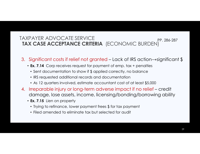#### TAXPAYER ADVOCATE SERVICE **TAX CASE ACCEPTANCE CRITERIA** (ECONOMIC BURDEN)PP. 286-287

- 3. Significant costs if relief not granted Lack of IRS action →significant \$
	- **Ex. 7.14** Corp receives request for payment of emp. tax + penalties
		- Sent documentation to show if \$ applied correctly, no balance
		- IRS requested additional records and documentation
		- As 12 quarters involved, estimate accountant cost of at least \$5,000
- 4. Irreparable injury or long-term adverse impact if no relief credit damage, lose assets, income, licensing/bonding/borrowing ability
	- **Ex. 7.15** Lien on property
		- Trying to refinance, lower payment frees \$ for tax payment
		- Filed amended to eliminate tax but selected for audit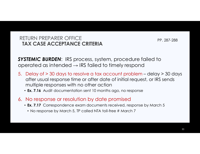#### RETURN PREPARER OFFICE**TAX CASE ACCEPTANCE CRITERIA**

PP. 287-288

*SYSTEMIC BURDEN*: IRS process, system, procedure failed to operated as intended  $\rightarrow$  IRS failed to timely respond

- 5. Delay of  $>$  30 days to resolve a tax account problem delay  $>$  30 days attachment of initial request or IRS sends after usual response time or after date of initial request, or IRS sends multiple responses with no other action
	- **Ex. 7.16** Audit documentation sent 10 months ago, no response

#### 6. No response or resolution by date promised

- **Ex. 7.17** Correspondence exam documents received, response by March 5
- No response by March 5, TP called NTA toll-free # March 7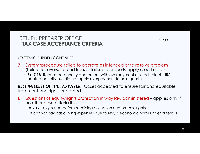#### RETURN PREPARER OFFICE**TAX CASE ACCEPTANCE CRITERIA**

P. 288

(SYSTEMIC BURDEN CONTINUED)

- 7. System/procedure failed to operate as intended or to resolve problem (failure to reverse refund freeze, failure to properly apply credit elect)
	- **Ex. 7.18** Requested penalty abatement with overpayment as credit elect IRS<br>chated penalty but did not apply overpayment to poyt quarter abated penalty but did not apply overpayment to next quarter

*BEST INTEREST OF THE TAXPAYER:* Cases accepted to ensure fair and equitable treatment and rights protected

- 8. Questions of equity/rights protection in way law administered applies only if no other case criteria fits
	- **Ex. 7.19** Levy issued before receiving collection due process rights
		- If cannot pay basic living expenses due to levy is economic harm under criteria 1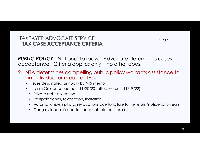#### TAXPAYER ADVOCATE SERVICE**TAX CASE ACCEPTANCE CRITERIA**

P. 289

**PUBLIC POLICY:** National Taxpayer Advocate determines cases acceptance. Criteria applies only if no other does.

- 9. NTA determines compelling public policy warrants assistance to an individual or group of TPs –
	- Issues designated annually by NTS memo
	- Interim Guidance Memo 11/20/20 (effective until 11/19/22)
		- Private debt collection
		- Passport denial, revocation, limitation
		- Automatic exempt org. revocations due to failure to file return/notice for 3 years
		- Congressional referred tax account-related inquiries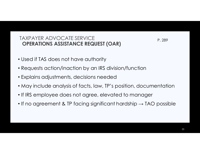#### TAXPAYER ADVOCATE SERVICE**OPERATIONS ASSISTANCE REQUEST (OAR)**

P. 289

- Used if TAS does not have authority
- Requests action/inaction by an IRS division/function
- Explains adjustments, decisions needed
- May include analysis of facts, law, TP's position, documentation
- If IRS employee does not agree, elevated to manager
- $\bullet$  If no agreement & TP facing significant hardship  $\rightarrow$  TAO possible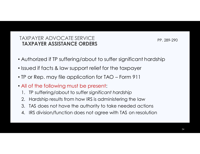#### TAXPAYER ADVOCATE SERVICE**TAXPAYER ASSISTANCE ORDERS**

PP. 289-290

- Authorized if TP suffering/about to suffer significant hardship
- Issued if facts & law support relief for the taxpayer
- TP or Rep. may file application for TAO Form 911
- All of the following must be present:
	- 1. TP suffering/about to suffer *significant hardship*
	- 2. Hardship results from how IRS is administering the law
	- 3. TAS does not have the authority to take needed actions
	- 4. IRS division/function does not agree with TAS on resolution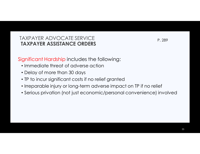#### TAXPAYER ADVOCATE SERVICE**TAXPAYER ASSISTANCE ORDERS**

P. 289

Significant Hardship includes the following:

- Immediate threat of adverse action
- Delay of more than 30 days
- TP to incur significant costs if no relief granted
- Irreparable injury or long-term adverse impact on TP if no relief
- Serious privation (not just economic/personal convenience) involved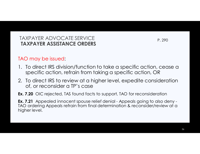#### TAXPAYER ADVOCATE SERVICE**TAXPAYER ASSISTANCE ORDERS**

P. 290

### TAO may be issued:

- 1. To direct IRS division/function to take a specific action, cease a specific action, refrain from taking a specific action, OR
- 2. To direct IRS to review at a higher level, expedite consideration of, or reconsider a TP's case
- **Ex. 7.20** OIC rejected, TAS found facts to support, TAO for reconsideration

**Ex. 7.21** Appealed innocent spouse relief denial - Appeals going to also deny - TAO ordering Appeals refrain from final determination & reconsider/review at a higher level.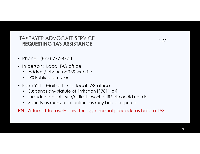#### TAXPAYER ADVOCATE SERVICE**REQUESTING TAS ASSISTANCE**

- Phone: (877) 777-4778
- In person: Local TAS office
	- Address/ phone on TAS website
	- $\bullet$ IRS Publication 1546
- Form 911: Mail or fax to local TAS office
	- $\bullet$  Suspends any statute of limitation [§7811(d)]  $\,$ •
	- •Include detail of issue/difficulties/what IRS did or did not do
	- $\bullet$ Specify as many relief actions as may be appropriate

PN: Attempt to resolve first through normal procedures before TAS

P. 291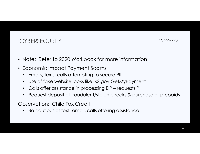PP. 292-293

- Note: Refer to 2020 Workbook for more information
- Economic Impact Payment Scams
	- $\bullet$ Emails, texts, calls attempting to secure PII
	- $\bullet$ Use of fake website looks like IRS.gov GetMyPayment
	- $\bullet$ Calls offer assistance in processing EIP – requests PII
	- $\bullet$ Request deposit of fraudulent/stolen checks & purchase of prepaids

Observation: Child Tax Credit

 $\bullet$ Be cautious of text, email, calls offering assistance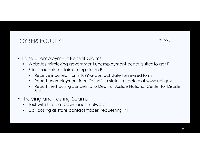Pg. 293

- False Unemployment Benefit Claims
	- Websites mimicking government unemployment benefits sites to get PII •
	- • Filing fraudulent claims using stolen PII
		- •Receive incorrect Form 1099-G contact state for revised form
		- Report unemployment identify theft to state directory at www.dol.gov  $\bullet$
		- • Report theft during pandemic to Dept. of Justice National Center for Disaster Fraud
- Tracing and Testing Scams
	- Text with link that downloads malware $\bullet$
	- Call posing as state contact tracer, requesting PII  $\bullet$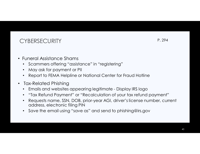- Funeral Assistance Shams
	- Scammers offering "assistance" in "registering" $\bullet$
	- •May ask for payment or PII
	- •Report to FEMA Helpline or National Center for Fraud Hotline
- $\bullet$  Tax-Related Phishing
	- Emails and websites appearing legitimate Display IRS logo  $\bullet$
	- •"Tax Refund Payment" or "Recalculation of your tax refund payment"
	- Requests name, SSN, DOB, prior-year AGI, driver's license number, current •address, electronic filing PIN
	- $\bullet$   $\,$  Save the email using ''save as'' and send to phishing@irs.gov  $\bullet$

P. 294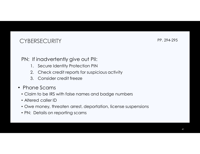PP. 294-295

- PN: If inadvertently give out PII:
	- 1. Secure Identity Protection PIN<br>2. Check credit reports for suspic
	- 2. Check credit reports for suspicious activity
	- 3. Consider credit freeze
- Phone Scams
	- Claim to be IRS with false names and badge numbers
	- Altered caller ID
	- Owe money, threaten arrest, deportation, license suspensions
	- PN: Details on reporting scams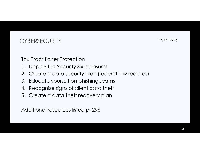PP. 295-296

Tax Practitioner Protection

- 1. Deploy the Security Six measures
- 2. Create a data security plan (federal law requires)
- 3. Educate yourself on phishing scams
- 4. Recognize signs of client data theft
- 5. Create a data theft recovery plan

Additional resources listed p. 296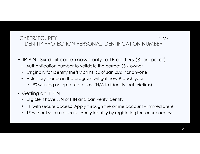#### **CYBERSECURITY**  IDENTITY PROTECTION PERSONAL IDENTIFICATION NUMBERP. 296

- IP PIN: Six-digit code known only to TP and IRS (& preparer)
	- •Authentication number to validate the correct SSN owner
	- •Originally for identity theft victims, as of Jan 2021 for anyone
	- $\bullet$  Voluntary – once in the program will get new # each year
		- IRS working on opt-out process (N/A to identify theft victims)
- Getting an IP PIN
	- Eligible if have SSN or ITIN and can verify identity•
	- $\bullet$ TP with secure access: Apply through the online account – immediate #
	- $\bullet$ TP without secure access: Verify identity by registering for secure access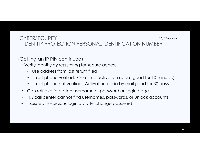#### **CYBERSECURITY**  IDENTITY PROTECTION PERSONAL IDENTIFICATION NUMBERPP. 296-297

(Getting an IP PIN continued)

- Verify identity by registering for secure access
	- Use address from last return filed
	- If cell phone verified: One-time activation code (good for 10 minutes)
	- If cell phone not verified: Activation code by mail good for 30 days
- $\bullet$ Can retrieve forgotten username or password on login page
- IRS call center cannot find usernames, passwords, or unlock accounts•
- •If suspect suspicious login activity, change password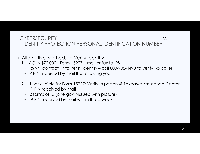#### **CYBERSECURITY**  IDENTITY PROTECTION PERSONAL IDENTIFICATION NUMBERP. 297

- Alternative Methods to Verify Identity
	- 1.  $\left\vert \mathsf{AGI} \right\vert \leq \frac{1}{2}72{,}000$ : Form 15227 mail or fax to IRS
		- IRS will contact TP to verify identity call 800-908-4490 to verify IRS caller
		- IP PIN received by mail the following year
	- 2. If not eligible for Form 15227: Verify in person @ Taxpayer Assistance Center
		- $\bullet$ IP PIN received by mail
		- 2 forms of ID (one gov't-issued with picture)
		- IP PIN received by mail within three weeks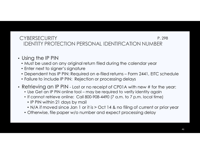#### **CYBERSECURITY**  IDENTITY PROTECTION PERSONAL IDENTIFICATION NUMBERP. 298

- Using the IP PIN
	- Must be used on any original return filed during the calendar year
	- Enter next to signer's signature
	- Dependent has IP PIN: Required on e-filed returns Form 2441, EITC schedule
	- Failure to include IP PIN: Rejection or processing delays
- Retrieving an IP PIN Lost or no receipt of CP01A with new # for the year:<br>salled Cet an IP PIN enline tool, may be required to verify identity again.
	- Use Get an IP PIN online tool may be required to verify identity again
	- If cannot retrieve online: Call 800-908-4490 (7 a.m. to 7 p.m. local time)
		- IP PIN within 21 days by mail
		- N/A if moved since Jan 1 or it is > Oct 14 & no filing of current or prior year
	- Otherwise, file paper w/o number and expect processing delay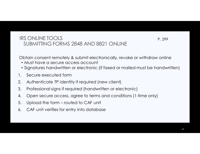#### IRS ONLINE TOOLSSUBMITTING FORMS 2848 AND 8821 ONLINE

P. 299

Obtain consent remotely & submit electronically, revoke or withdraw online

- Must have a secure access account
- Signatures handwritten or electronic (if faxed or mailed must be handwritten)
- 1. Secure executed form
- 2. Authenticate TP identity if required (new client)
- 3. Professional signs if required (handwritten or electronic)
- 4. Open secure access, agree to terms and conditions (1-time only)
- 5. Upload the form routed to CAF unit
- 6. CAF unit verifies for entry into database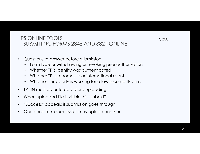#### IRS ONLINE TOOLSSUBMITTING FORMS 2848 AND 8821 ONLINE

- $\bullet$  Questions to answer before submission:
	- Form type or withdrawing or revoking prior authorization
	- Whether TP's identity was authenticated
	- Whether TP is a domestic or international client
	- Whether third-party is working for a low-income TP clinic
- •TP TIN must be entered before uploading
- $\bullet$ When uploaded file is visible, hit "submit"
- $\bullet$ "Success" appears if submission goes through
- •Once one form successful, may upload another

P. 300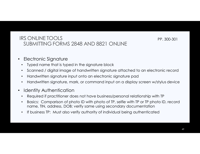#### IRS ONLINE TOOLSSUBMITTING FORMS 2848 AND 8821 ONLINE

PP. 300-301

- $\bullet$  Electronic Signature
	- Typed name that is typed in the signature block•
	- •Scanned / digital image of handwritten signature attached to an electronic record
	- •Handwritten signature input onto an electronic signature pad
	- •Handwritten signature, mark, or command input on a display screen w/stylus device
- $\bullet$  Identity Authentication
	- Required if practitioner does not have business/personal relationship with TP•
	- • Basics: Comparison of photo ID with photo of TP, selfie with TP or TP photo ID, record name, TIN, address, DOB; verify same using secondary documentation
	- If business TP: Must also verify authority of individual being authenticated•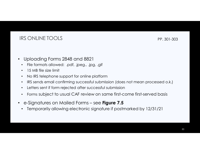### IRS ONLINE TOOLS

PP. 301-303

- $\bullet$  Uploading Forms 2848 and 8821
	- File formats allowed: .pdf, .jpeg., .jpg, .gif •
	- •15 MB file size limit
	- •No IRS telephone support for online platform
	- $\bullet$   $\;$  IRS sends email confirming successful submission (does not mean processed o.k.) •
	- •Letters sent if form rejected after successful submission
	- •Forms subject to usual CAF review on same first-come first-served basis
- $\bullet$  e-Signatures on Mailed Forms – see **Figure 7.5**
	- •Temporarily allowing electronic signature if postmarked by 12/31/21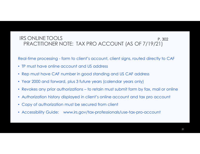#### IRS ONLINE TOOLS PRACTITIONER NOTE: TAX PRO ACCOUNT (AS OF 7/19/21)P. 302

Real-time processing - form to client's account, client signs, routed directly to CAF

- TP must have online account and US address
- Rep must have CAF number in good standing and US CAF address
- Year 2000 and forward, plus 3 future years (calendar years only)
- Revokes any prior authorizations to retain must submit form by fax, mail or online
- Authorization history displayed in client's online account and tax pro account
- Copy of authorization must be secured from client
- Accessibility Guide: www.irs.gov/tax-professionals/use-tax-pro-account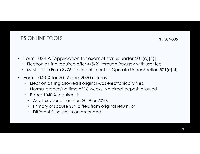## IRS ONLINE TOOLS

PP. 304-305

- Form 1024-A [Application for exempt status under 501(c)(4)]
	- Electronic filing required after 4/5/21 through Pay.gov with user fee $\bullet$
	- Must still file Form 8976, Notice of Intent to Operate Under Section 501(c)(4) $\bullet$
- $\bullet$  Form 1040-X for 2019 and 2020 returns
	- $\bullet$ Electronic filing allowed if original was electronically filed
	- Normal processing time of 16 weeks, No direct deposit allowed
	- Paper 1040-X required if:
		- •Any tax year other than 2019 or 2020,
		- $\bullet$ Primary or spouse SSN differs from original return, or
		- •Different filing status on amended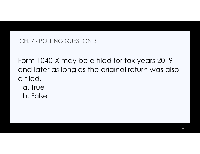## CH. 7 - POLLING QUESTION 3

Form 1040-X may be e-filed for tax years 2019 and later as long as the original return was also e-filed.

- a. True
- b. False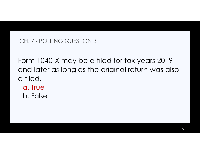## CH. 7 - POLLING QUESTION 3

Form 1040-X may be e-filed for tax years 2019 and later as long as the original return was also e-filed.

- a. True
- b. False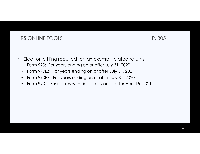### IRS ONLINE TOOLS P. 305

- • Electronic filing required for tax-exempt-related returns:
	- •Form 990: For years ending on or after July 31, 2020
	- Form 990EZ: For years ending on or after July 31, 2021 $\bullet$
	- Form 990PF: For years ending on or after July 31, 2020 $\bullet$
	- Form 990T: For returns with due dates on or after April 15, 2021 $\bullet$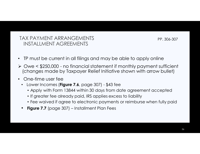PP. 306-307

- TP must be current in all filings and may be able to apply online
- Owe < \$250,000 no financial statement if monthly payment sufficient (changes made by Taxpayer Relief Initiative shown with arrow bullet)
- One-time user fee
	- Lower Incomes (**Figure 7.6**, page 307) \$43 fee  $\bullet$ 
		- Apply with Form 13844 within 30 days from date agreement accepted
		- If greater fee already paid, IRS applies excess to liability
		- Fee waived if agree to electronic payments or reimburse when fully paid
	- •**Figure 7.7** (page 307) – Installment Plan Fees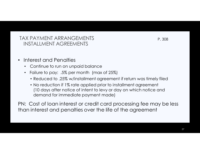- $\bullet$  Interest and Penalties
	- Continue to run on unpaid balance
	- Failure to pay: .5% per month (max of 25%)
		- Reduced to .25% w/installment agreement if return was timely filed
		- No reduction if 1% rate applied prior to installment agreement (10 days after notice of intent to levy or day on which notice and demand for immediate payment made)

PN: Cost of loan interest or credit card processing fee may be less than interest and penalties over the life of the agreement

P. 308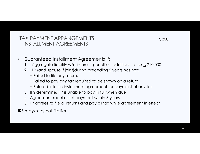P. 308

- $\bullet$  Guaranteed Installment Agreements If:
	- 1. Aggregate liability w/o interest, penalties, additions to tax < \$10,000
	- 2. TP (and spouse if joint)during preceding 5 years has not:
		- Failed to file any return,
		- Failed to pay any tax required to be shown on a return
		- Entered into an installment agreement for payment of any tax
	- 3. IRS determines TP is unable to pay in full when due
	- 4. Agreement requires full payment within 3 years
	- 5. TP agrees to file all returns and pay all tax while agreement in effect

IRS may/may not file lien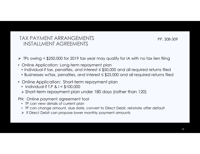PP. 308-309

- $\triangleright$  TPs owing < \$250,000 for 2019 tax year may qualify for IA with no tax lien filing
- Online Application: Long-term repayment plan
	- Individual if tax, penalties, and interest ≤ \$50,000 and all required returns filed
	- Businesses w/tax, penalties, and interest ≤ \$25,000 and all required returns filed
- Online Application: Short-term repayment plan
	- Individual if T,P & I < \$100,000
	- Short-term repayment plan under 180 days (rather than 120)
- PN: Online payment agreement tool
	- TP can view details of current plan
	- TP can change amount, due date, convert to Direct Debit, reinstate after default
	- $\triangleright$  If Direct Debit can propose lower monthly payment amounts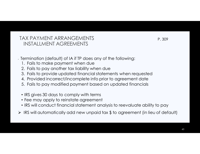P. 309

- Termination (default) of IA if TP does any of the following:
	- 1. Fails to make payment when due
	- 2. Fails to pay another tax liability when due
	- 3. Fails to provide updated financial statements when requested
	- 4. Provided incorrect/incomplete info prior to agreement date
	- 5. Fails to pay modified payment based on updated financials
	- IRS gives 30 days to comply with terms
	- Fee may apply to reinstate agreement
	- IRS will conduct financial statement analysis to reevaluate ability to pay
- $\triangleright$  IRS will automatically add new unpaid tax  $\$$  to agreement (in lieu of default)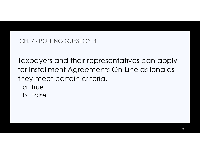## CH. 7 - POLLING QUESTION 4

Taxpayers and their representatives can apply for Installment Agreements On-Line as long as they meet certain criteria.

- a. True
- b. False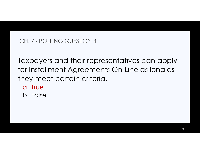## CH. 7 - POLLING QUESTION 4

Taxpayers and their representatives can apply for Installment Agreements On-Line as long as they meet certain criteria.

- a. True
- b. False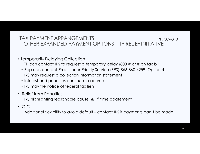#### TAX PAYMENT ARRANGEMENTS OTHER EXPANDED PAYMENT OPTIONS – TP RELIEF INITIATIVE PP. 309-310

- Temporarily Delaying Collection
	- TP can contact IRS to request a temporary delay (800 # or # on tax bill)
	- Rep can contact Practitioner Priority Service (PPS) 866-860-4259, Option 4
	- IRS may request a collection information statement
	- Interest and penalties continue to accrue
	- IRS may file notice of federal tax lien
- Relief from Penalties
	- IRS highlighting reasonable cause  $\,$  & 1st time abatement
- OIC
	- Additional flexibility to avoid default contact IRS if payments can't be made